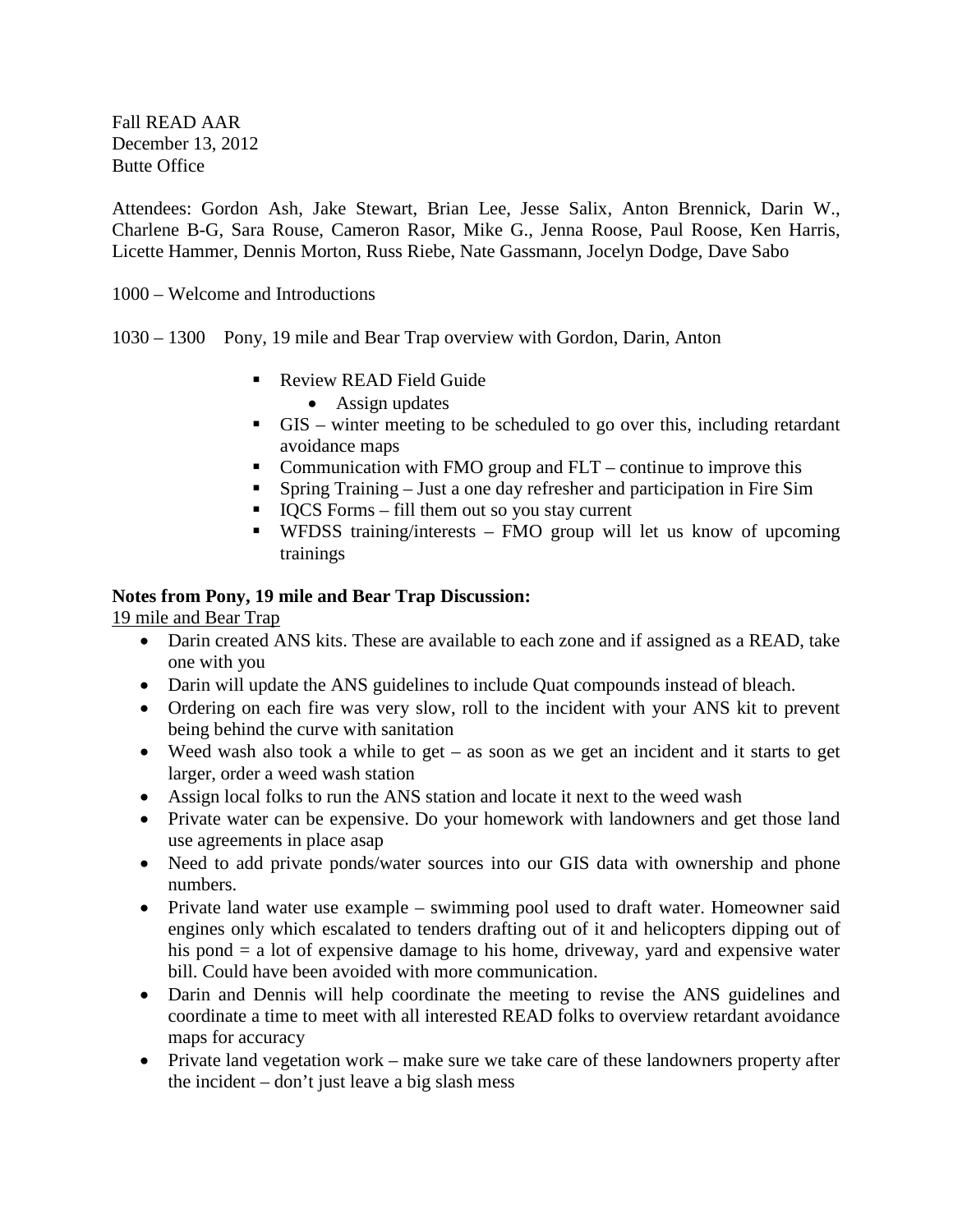Fall READ AAR December 13, 2012 Butte Office

Attendees: Gordon Ash, Jake Stewart, Brian Lee, Jesse Salix, Anton Brennick, Darin W., Charlene B-G, Sara Rouse, Cameron Rasor, Mike G., Jenna Roose, Paul Roose, Ken Harris, Licette Hammer, Dennis Morton, Russ Riebe, Nate Gassmann, Jocelyn Dodge, Dave Sabo

1000 – Welcome and Introductions

- 1030 1300 Pony, 19 mile and Bear Trap overview with Gordon, Darin, Anton
	- Review READ Field Guide
		- Assign updates
	- GIS winter meeting to be scheduled to go over this, including retardant avoidance maps
	- Communication with FMO group and  $FLT$  continue to improve this
	- Spring Training Just a one day refresher and participation in Fire Sim
	- $\blacksquare$  IQCS Forms fill them out so you stay current
	- WFDSS training/interests FMO group will let us know of upcoming trainings

## **Notes from Pony, 19 mile and Bear Trap Discussion:**

19 mile and Bear Trap

- Darin created ANS kits. These are available to each zone and if assigned as a READ, take one with you
- Darin will update the ANS guidelines to include Quat compounds instead of bleach.
- Ordering on each fire was very slow, roll to the incident with your ANS kit to prevent being behind the curve with sanitation
- Weed wash also took a while to get as soon as we get an incident and it starts to get larger, order a weed wash station
- Assign local folks to run the ANS station and locate it next to the weed wash
- Private water can be expensive. Do your homework with landowners and get those land use agreements in place asap
- Need to add private ponds/water sources into our GIS data with ownership and phone numbers.
- Private land water use example swimming pool used to draft water. Homeowner said engines only which escalated to tenders drafting out of it and helicopters dipping out of his pond = a lot of expensive damage to his home, driveway, yard and expensive water bill. Could have been avoided with more communication.
- Darin and Dennis will help coordinate the meeting to revise the ANS guidelines and coordinate a time to meet with all interested READ folks to overview retardant avoidance maps for accuracy
- Private land vegetation work make sure we take care of these landowners property after the incident – don't just leave a big slash mess